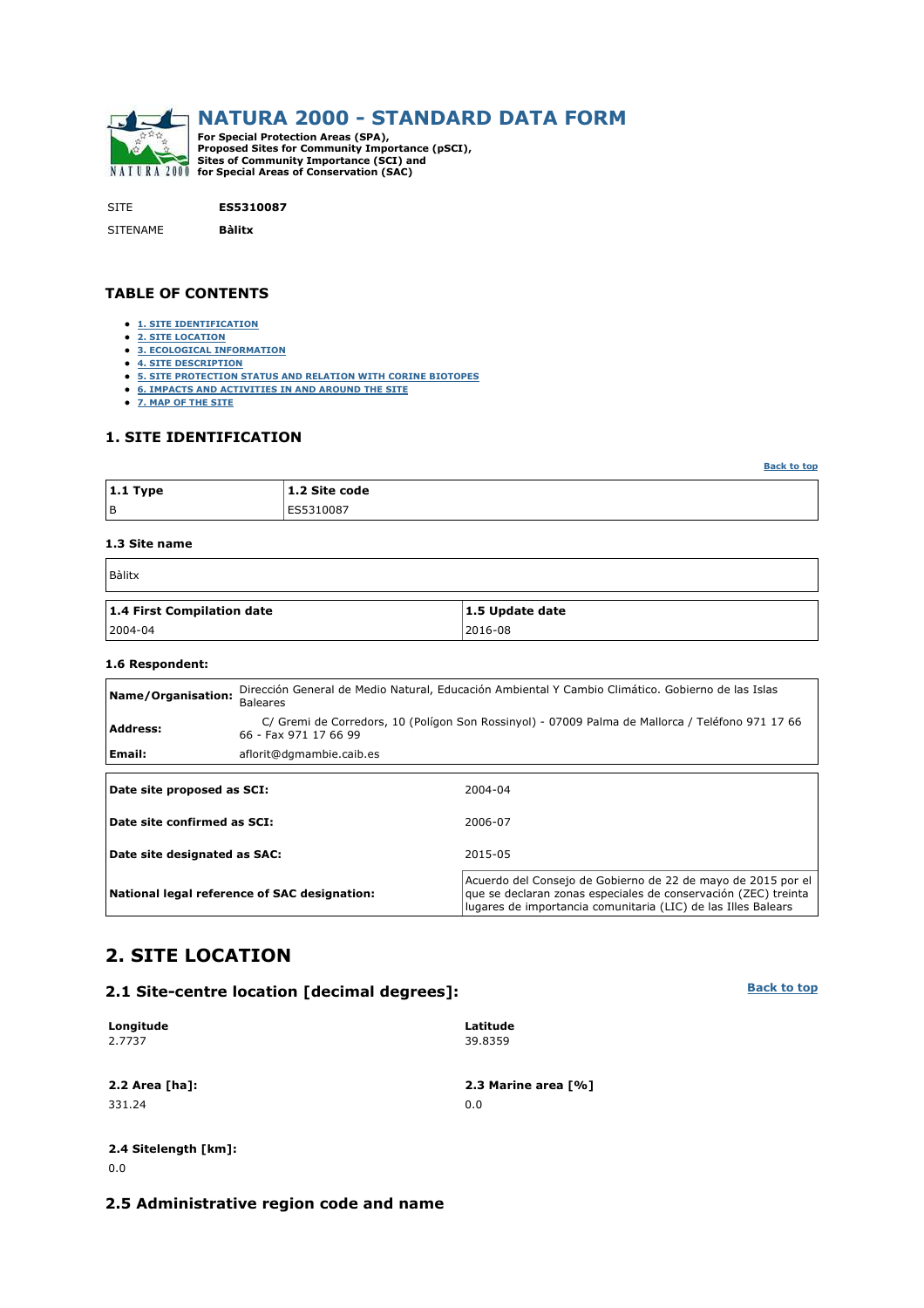

SITE **ES5310087**

SITENAME **Bàlitx**

### **TABLE OF CONTENTS**

- **1. SITE IDENTIFICATION**
- **2. SITE LOCATION**
- **3. ECOLOGICAL INFORMATION**
- **4. SITE DESCRIPTION**
- **5. SITE PROTECTION STATUS AND RELATION WITH CORINE BIOTOPES**
- **6. IMPACTS AND ACTIVITIES IN AND AROUND THE SITE**
- **7. MAP OF THE SITE**

### **1. SITE IDENTIFICATION**

|                | 1.2 Site code |
|----------------|---------------|
| B<br>ES5310087 |               |

### **1.3 Site name**

| Bàlitx                     |                 |  |  |  |  |  |  |  |
|----------------------------|-----------------|--|--|--|--|--|--|--|
| 1.4 First Compilation date | 1.5 Update date |  |  |  |  |  |  |  |
| 2004-04                    | 2016-08         |  |  |  |  |  |  |  |

#### **1.6 Respondent:**

| Name/Organisation:          | Dirección General de Medio Natural, Educación Ambiental Y Cambio Climático. Gobierno de las Islas<br><b>Baleares</b>      |  |  |  |  |  |  |  |  |  |
|-----------------------------|---------------------------------------------------------------------------------------------------------------------------|--|--|--|--|--|--|--|--|--|
| <b>Address:</b>             | C/ Gremi de Corredors, 10 (Polígon Son Rossinyol) - 07009 Palma de Mallorca / Teléfono 971 17 66<br>66 - Fax 971 17 66 99 |  |  |  |  |  |  |  |  |  |
| Email:                      | aflorit@dgmambie.caib.es                                                                                                  |  |  |  |  |  |  |  |  |  |
| Date site proposed as SCI:  | 2004-04                                                                                                                   |  |  |  |  |  |  |  |  |  |
| Date site confirmed as SCI: | 2006-07                                                                                                                   |  |  |  |  |  |  |  |  |  |

| Date site designated as SAC:                 | 2015-05                                                                                                                                                                                         |
|----------------------------------------------|-------------------------------------------------------------------------------------------------------------------------------------------------------------------------------------------------|
| National legal reference of SAC designation: | Acuerdo del Consejo de Gobierno de 22 de mayo de 2015 por el<br>que se declaran zonas especiales de conservación (ZEC) treinta<br>Iugares de importancia comunitaria (LIC) de las Illes Balears |

# **2. SITE LOCATION**

| 2.1 Site-centre location [decimal degrees]: |  |  |
|---------------------------------------------|--|--|
|                                             |  |  |

| Longitude      | Latitude            |
|----------------|---------------------|
| 2.7737         | 39.8359             |
| 2.2 Area [ha]: | 2.3 Marine area [%] |
| 331.24         | 0.0                 |
|                |                     |

### **2.4 Sitelength [km]:** 0.0

### **2.5 Administrative region code and name**

**Back to top**

**Back to top**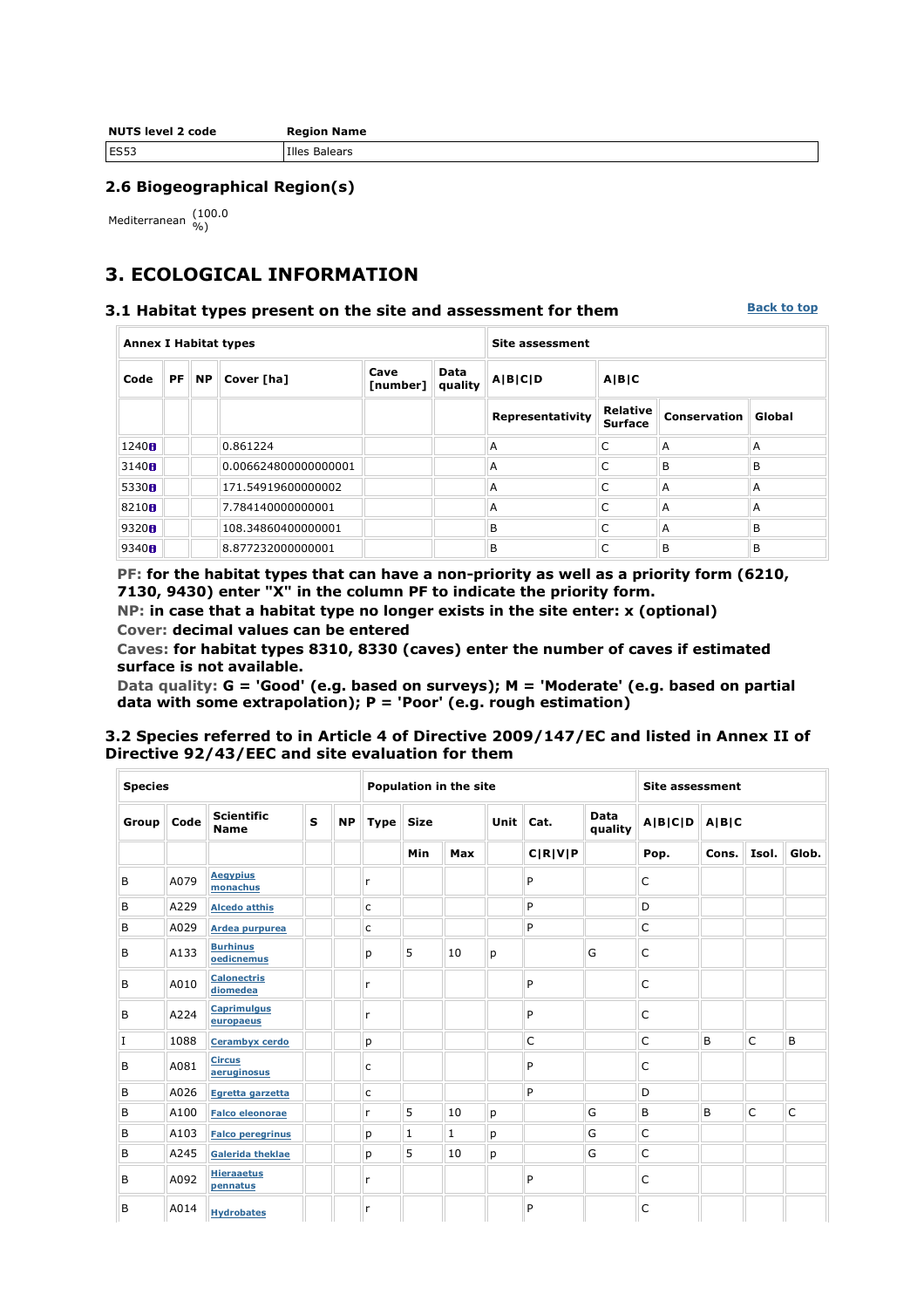| <b>NUTS level 2 code</b> | <b>Region Name</b> |  |  |  |  |  |  |
|--------------------------|--------------------|--|--|--|--|--|--|
| <b>ES53</b>              | Illes Balears      |  |  |  |  |  |  |

### **2.6 Biogeographical Region(s)**

Mediterranean (100.0

# **3. ECOLOGICAL INFORMATION**

#### **3.1 Habitat types present on the site and assessment for them**

**Back to top**

| <b>Annex I Habitat types</b> |  |       |                      |                  | <b>Site assessment</b> |                  |                            |              |        |  |  |
|------------------------------|--|-------|----------------------|------------------|------------------------|------------------|----------------------------|--------------|--------|--|--|
| Code                         |  | PF NP | Cover [ha]           | Cave<br>[number] | Data<br>quality        | A B C D          | <b>AIBIC</b>               |              |        |  |  |
|                              |  |       |                      |                  |                        | Representativity | Relative<br><b>Surface</b> | Conservation | Global |  |  |
| 1240H                        |  |       | 0.861224             |                  |                        | A                | C                          | A            | A      |  |  |
| 3140H                        |  |       | 0.006624800000000001 |                  |                        | A                | C                          | B            | B      |  |  |
| 5330 <sub>fl</sub>           |  |       | 171.54919600000002   |                  |                        | A                | Ċ                          | A            | A      |  |  |
| 8210 <sub>8</sub>            |  |       | 7.784140000000001    |                  |                        | A                | C                          | A            | A      |  |  |
| 9320H                        |  |       | 108.34860400000001   |                  |                        | B                | C                          | A            | B      |  |  |
| 9340H                        |  |       | 8.877232000000001    |                  |                        | B                | C                          | B            | B      |  |  |

**PF: for the habitat types that can have a non-priority as well as a priority form (6210, 7130, 9430) enter "X" in the column PF to indicate the priority form.** 

**NP: in case that a habitat type no longer exists in the site enter: x (optional) Cover: decimal values can be entered** 

**Caves: for habitat types 8310, 8330 (caves) enter the number of caves if estimated surface is not available.** 

**Data quality: G = 'Good' (e.g. based on surveys); M = 'Moderate' (e.g. based on partial data with some extrapolation); P = 'Poor' (e.g. rough estimation)** 

### **3.2 Species referred to in Article 4 of Directive 2009/147/EC and listed in Annex II of Directive 92/43/EEC and site evaluation for them**

| <b>Species</b> |             |                                  |              |           |              |             | Population in the site |   | <b>Site assessment</b> |                 |                   |       |              |              |  |
|----------------|-------------|----------------------------------|--------------|-----------|--------------|-------------|------------------------|---|------------------------|-----------------|-------------------|-------|--------------|--------------|--|
| Group          | <b>Code</b> | <b>Scientific</b><br><b>Name</b> | $\mathbf{s}$ | <b>NP</b> | <b>Type</b>  | <b>Size</b> |                        |   | Unit Cat.              | Data<br>quality | $A B C D$ $A B C$ |       |              |              |  |
|                |             |                                  |              |           |              | Min         | <b>Max</b>             |   | C R V P                |                 | Pop.              | Cons. | Isol.        | Glob.        |  |
| B              | A079        | <b>Aegypius</b><br>monachus      |              |           | r            |             |                        |   | P                      |                 | $\mathsf C$       |       |              |              |  |
| B              | A229        | <b>Alcedo atthis</b>             |              |           | $\mathsf{C}$ |             |                        |   | P                      |                 | D                 |       |              |              |  |
| B              | A029        | Ardea purpurea                   |              |           | c            |             |                        |   | P                      |                 | $\mathsf C$       |       |              |              |  |
| B              | A133        | <b>Burhinus</b><br>oedicnemus    |              |           | p            | 5           | 10                     | p |                        | G               | C                 |       |              |              |  |
| B              | A010        | <b>Calonectris</b><br>diomedea   |              |           | r            |             |                        |   | P                      |                 | C                 |       |              |              |  |
| B              | A224        | <b>Caprimulgus</b><br>europaeus  |              |           | r            |             |                        |   | P                      |                 | $\mathsf{C}$      |       |              |              |  |
| I              | 1088        | Cerambyx cerdo                   |              |           | p            |             |                        |   | C                      |                 | $\mathsf C$       | B     | $\mathsf{C}$ | B            |  |
| B              | A081        | <b>Circus</b><br>aeruginosus     |              |           | c            |             |                        |   | P                      |                 | C                 |       |              |              |  |
| B              | A026        | Egretta garzetta                 |              |           | c            |             |                        |   | P                      |                 | D                 |       |              |              |  |
| B              | A100        | <b>Falco eleonorae</b>           |              |           | r            | 5           | 10                     | p |                        | G               | B                 | B     | $\mathsf{C}$ | $\mathsf{C}$ |  |
| B              | A103        | <b>Falco peregrinus</b>          |              |           | р            | 1           | 1                      | р |                        | G               | $\mathsf C$       |       |              |              |  |
| B              | A245        | <b>Galerida theklae</b>          |              |           | p            | 5           | 10                     | р |                        | G               | $\mathsf{C}$      |       |              |              |  |
| B              | A092        | <b>Hieraaetus</b><br>pennatus    |              |           | r            |             |                        |   | P                      |                 | C                 |       |              |              |  |
| B              | A014        | <b>Hydrobates</b>                |              |           | r            |             |                        |   | P                      |                 | C                 |       |              |              |  |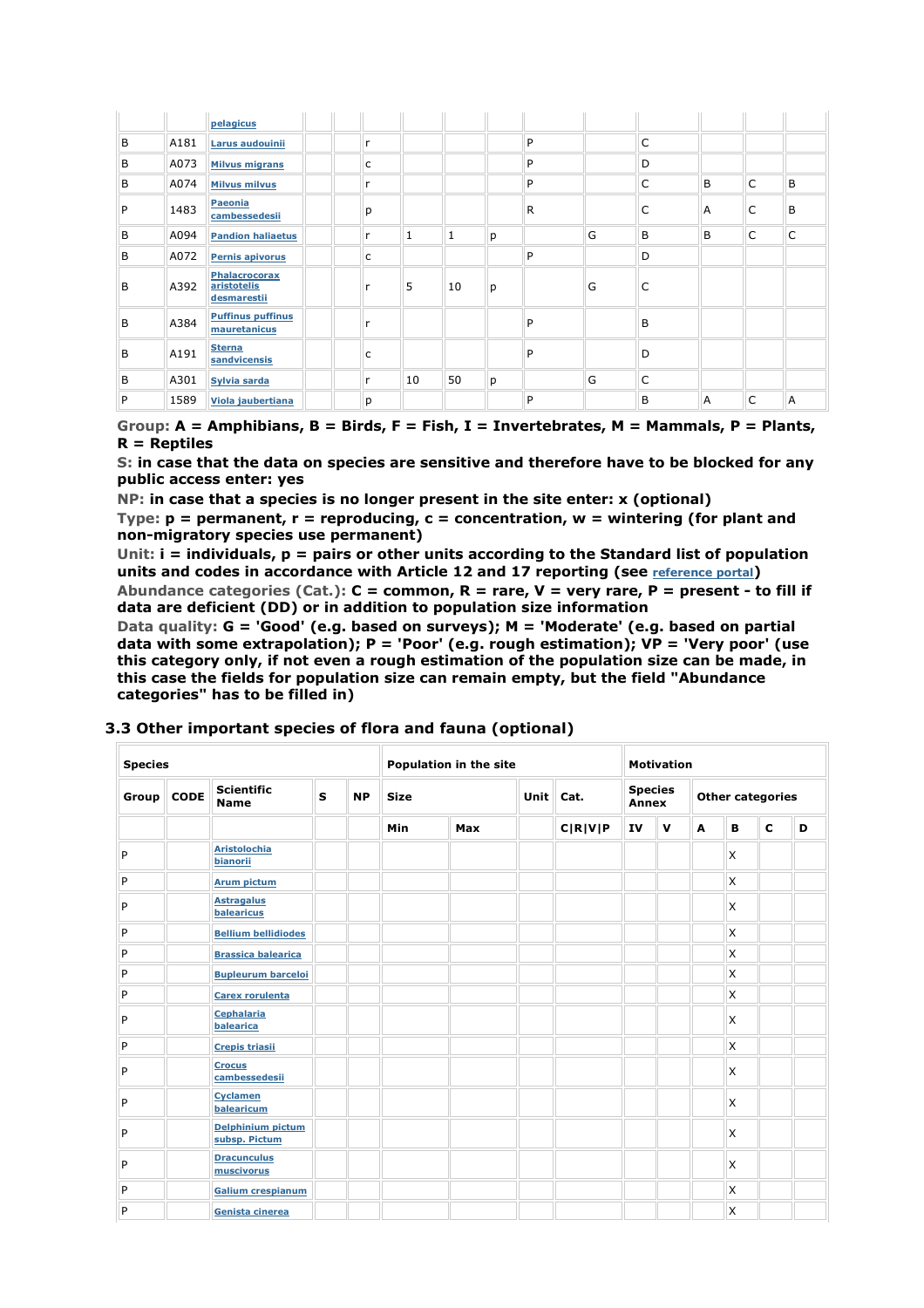|   |      | pelagicus                                          |              |              |    |   |   |   |              |   |   |   |
|---|------|----------------------------------------------------|--------------|--------------|----|---|---|---|--------------|---|---|---|
| B | A181 | Larus audouinii                                    | r            |              |    |   | P |   | $\mathsf{C}$ |   |   |   |
| B | A073 | <b>Milvus migrans</b>                              | C            |              |    |   | P |   | D            |   |   |   |
| B | A074 | <b>Milvus milvus</b>                               | $\mathsf{r}$ |              |    |   | P |   | $\mathsf{C}$ | B | C | B |
| P | 1483 | Paeonia<br>cambessedesii                           | p            |              |    |   | R |   | C            | A | C | B |
| B | A094 | <b>Pandion haliaetus</b>                           | r            | $\mathbf{1}$ | 1  | р |   | G | B            | B | C | C |
| B | A072 | <b>Pernis apivorus</b>                             | C            |              |    |   | P |   | D            |   |   |   |
| B | A392 | <b>Phalacrocorax</b><br>aristotelis<br>desmarestii | r            | 5            | 10 | p |   | G | C            |   |   |   |
| B | A384 | <b>Puffinus puffinus</b><br>mauretanicus           |              |              |    |   | P |   | B            |   |   |   |
| B | A191 | <b>Sterna</b><br>sandvicensis                      | C            |              |    |   | P |   | D            |   |   |   |
| B | A301 | Sylvia sarda                                       | r            | 10           | 50 | p |   | G | $\mathsf{C}$ |   |   |   |
| P | 1589 | <b>Viola jaubertiana</b>                           | p            |              |    |   | P |   | B            | A | C | A |

**Group: A = Amphibians, B = Birds, F = Fish, I = Invertebrates, M = Mammals, P = Plants, R = Reptiles** 

**S: in case that the data on species are sensitive and therefore have to be blocked for any public access enter: yes** 

**NP: in case that a species is no longer present in the site enter: x (optional)** 

**Type: p = permanent, r = reproducing, c = concentration, w = wintering (for plant and non-migratory species use permanent)** 

**Unit: i = individuals, p = pairs or other units according to the Standard list of population units and codes in accordance with Article 12 and 17 reporting (see reference portal)** 

**Abundance categories (Cat.): C = common, R = rare, V = very rare, P = present - to fill if data are deficient (DD) or in addition to population size information** 

**Data quality: G = 'Good' (e.g. based on surveys); M = 'Moderate' (e.g. based on partial data with some extrapolation); P = 'Poor' (e.g. rough estimation); VP = 'Very poor' (use this category only, if not even a rough estimation of the population size can be made, in this case the fields for population size can remain empty, but the field "Abundance categories" has to be filled in)** 

| <b>Species</b> |                   |                                           |              |           | Population in the site |     |  |             | <b>Motivation</b> |                         |   |                         |             |   |  |
|----------------|-------------------|-------------------------------------------|--------------|-----------|------------------------|-----|--|-------------|-------------------|-------------------------|---|-------------------------|-------------|---|--|
|                | $Group \, \,CODE$ | <b>Scientific</b><br><b>Name</b>          | $\mathbf{s}$ | <b>NP</b> | <b>Size</b>            |     |  | Unit   Cat. |                   | <b>Species</b><br>Annex |   | <b>Other categories</b> |             |   |  |
|                |                   |                                           |              |           | <b>Min</b>             | Max |  | C R V P     | IV                | $\mathbf v$             | A | B                       | $\mathbf c$ | D |  |
| P              |                   | <b>Aristolochia</b><br>bianorii           |              |           |                        |     |  |             |                   |                         |   | $\mathsf{x}$            |             |   |  |
| P              |                   | <b>Arum pictum</b>                        |              |           |                        |     |  |             |                   |                         |   | X                       |             |   |  |
| P              |                   | <b>Astragalus</b><br>balearicus           |              |           |                        |     |  |             |                   |                         |   | $\times$                |             |   |  |
| P              |                   | <b>Bellium bellidiodes</b>                |              |           |                        |     |  |             |                   |                         |   | $\mathsf{x}$            |             |   |  |
| P              |                   | <b>Brassica balearica</b>                 |              |           |                        |     |  |             |                   |                         |   | X                       |             |   |  |
| P              |                   | <b>Bupleurum barceloi</b>                 |              |           |                        |     |  |             |                   |                         |   | $\mathsf{x}$            |             |   |  |
| P              |                   | <b>Carex rorulenta</b>                    |              |           |                        |     |  |             |                   |                         |   | X                       |             |   |  |
| P              |                   | <b>Cephalaria</b><br>balearica            |              |           |                        |     |  |             |                   |                         |   | $\mathsf{x}$            |             |   |  |
| P              |                   | Crepis triasii                            |              |           |                        |     |  |             |                   |                         |   | X                       |             |   |  |
| P              |                   | <b>Crocus</b><br>cambessedesii            |              |           |                        |     |  |             |                   |                         |   | X                       |             |   |  |
| P              |                   | <b>Cyclamen</b><br>balearicum             |              |           |                        |     |  |             |                   |                         |   | $\mathsf{x}$            |             |   |  |
| P              |                   | <b>Delphinium pictum</b><br>subsp. Pictum |              |           |                        |     |  |             |                   |                         |   | $\mathsf{x}$            |             |   |  |
| P              |                   | <b>Dracunculus</b><br>muscivorus          |              |           |                        |     |  |             |                   |                         |   | X                       |             |   |  |
| P              |                   | <b>Galium crespianum</b>                  |              |           |                        |     |  |             |                   |                         |   | $\mathsf{x}$            |             |   |  |
| P              |                   | Genista cinerea                           |              |           |                        |     |  |             |                   |                         |   | $\times$                |             |   |  |

### **3.3 Other important species of flora and fauna (optional)**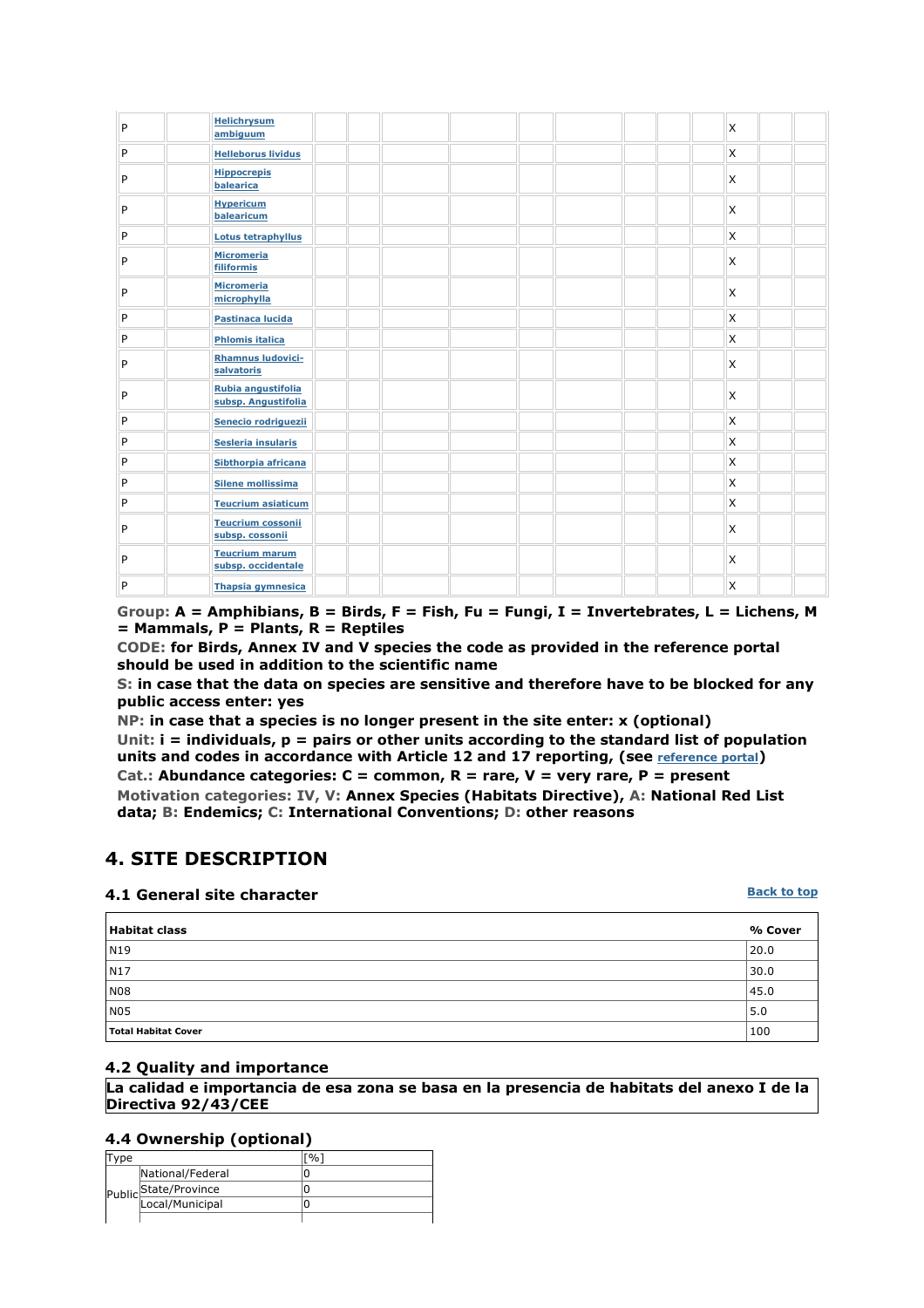| P | <b>Helichrysum</b><br>ambiguum              |  |  |  | $\mathsf{x}$              |  |
|---|---------------------------------------------|--|--|--|---------------------------|--|
| P | <b>Helleborus lividus</b>                   |  |  |  | X                         |  |
| P | <b>Hippocrepis</b><br>balearica             |  |  |  | $\mathsf{x}$              |  |
| P | <b>Hypericum</b><br>balearicum              |  |  |  | X                         |  |
| P | Lotus tetraphyllus                          |  |  |  | $\mathsf{x}$              |  |
| P | <b>Micromeria</b><br>filiformis             |  |  |  | $\times$                  |  |
| P | <b>Micromeria</b><br>microphylla            |  |  |  | $\mathsf{x}$              |  |
| P | Pastinaca lucida                            |  |  |  | $\mathsf{x}$              |  |
| P | <b>Phlomis italica</b>                      |  |  |  | $\boldsymbol{\mathsf{x}}$ |  |
| P | <b>Rhamnus Iudovici-</b><br>salvatoris      |  |  |  | $\mathsf{x}$              |  |
| P | Rubia angustifolia<br>subsp. Angustifolia   |  |  |  | X                         |  |
| P | Senecio rodriguezii                         |  |  |  | $\mathsf{x}$              |  |
| P | Sesleria insularis                          |  |  |  | $\boldsymbol{\mathsf{x}}$ |  |
| P | Sibthorpia africana                         |  |  |  | $\times$                  |  |
| P | <b>Silene mollissima</b>                    |  |  |  | $\mathsf{x}$              |  |
| P | <b>Teucrium asiaticum</b>                   |  |  |  | $\mathsf{x}$              |  |
| P | <b>Teucrium cossonii</b><br>subsp. cossonii |  |  |  | $\mathsf{x}$              |  |
| P | <b>Teucrium marum</b><br>subsp. occidentale |  |  |  | $\times$                  |  |
| P | <b>Thapsia gymnesica</b>                    |  |  |  | $\times$                  |  |

**Group: A = Amphibians, B = Birds, F = Fish, Fu = Fungi, I = Invertebrates, L = Lichens, M = Mammals, P = Plants, R = Reptiles** 

**CODE: for Birds, Annex IV and V species the code as provided in the reference portal should be used in addition to the scientific name** 

**S: in case that the data on species are sensitive and therefore have to be blocked for any public access enter: yes** 

**NP: in case that a species is no longer present in the site enter: x (optional)** 

**Unit: i = individuals, p = pairs or other units according to the standard list of population**  units and codes in accordance with Article 12 and 17 reporting, (see **reference portal**)

**Cat.: Abundance categories: C = common, R = rare, V = very rare, P = present Motivation categories: IV, V: Annex Species (Habitats Directive), A: National Red List data; B: Endemics; C: International Conventions; D: other reasons** 

## **4. SITE DESCRIPTION**

### **4.1 General site character**

**Back to top**

| <b>Habitat class</b> | % Cover |
|----------------------|---------|
| $\sqrt{N19}$         | 20.0    |
| N17                  | 30.0    |
| N08                  | 45.0    |
| N05                  | 5.0     |
| Total Habitat Cover  | 100     |

### **4.2 Quality and importance**

**La calidad e importancia de esa zona se basa en la presencia de habitats del anexo I de la Directiva 92/43/CEE**

### **4.4 Ownership (optional)**

|  | National/Federal      |  |
|--|-----------------------|--|
|  | Public State/Province |  |
|  | Local/Municipal       |  |
|  |                       |  |